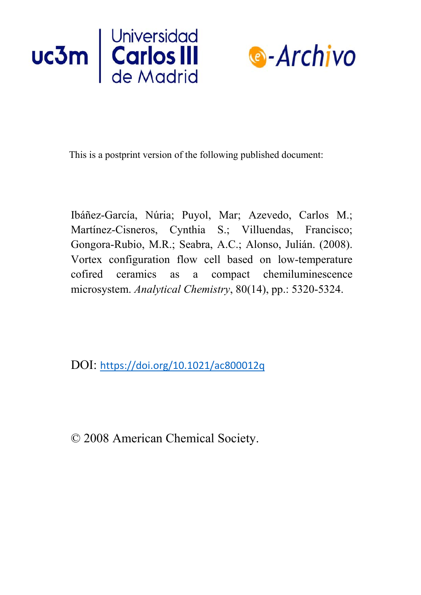



This is a postprint version of the following published document:

Ibáñez-García, Núria; Puyol, Mar; Azevedo, Carlos M.; Martínez-Cisneros, Cynthia S.; Villuendas, Francisco; Gongora-Rubio, M.R.; Seabra, A.C.; Alonso, Julián. (2008). Vortex configuration flow cell based on low-temperature cofired ceramics as a compact chemiluminescence microsystem. *Analytical Chemistry*, 80(14), pp.: 5320-5324.

DOI: <https://doi.org/10.1021/ac800012q>

© 2008 American Chemical Society.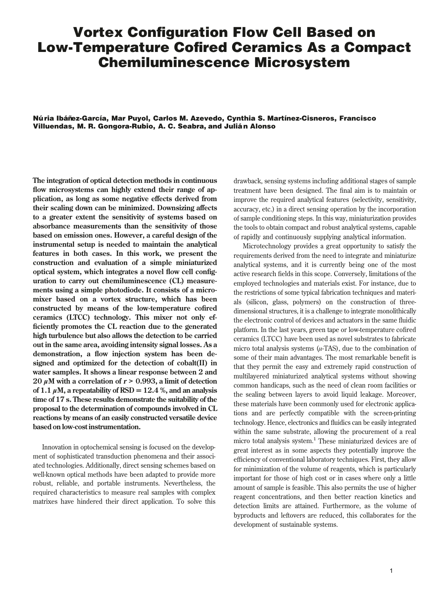# **Vortex Configuration Flow Cell Based on Low-Temperature Cofired Ceramics As a Compact Chemiluminescence Microsystem**

**Nu´ ria Iba´ n˜ez-Garcı´a, Mar Puyol, Carlos M. Azevedo, Cynthia S. Martı´nez-Cisneros, Francisco Villuendas, M. R. Gongora-Rubio, A. C. Seabra, and Julia´ n Alonso**

**The integration of optical detection methods in continuous flow microsystems can highly extend their range of application, as long as some negative effects derived from their scaling down can be minimized. Downsizing affects to a greater extent the sensitivity of systems based on absorbance measurements than the sensitivity of those based on emission ones. However, a careful design of the instrumental setup is needed to maintain the analytical features in both cases. In this work, we present the construction and evaluation of a simple miniaturized optical system, which integrates a novel flow cell configuration to carry out chemiluminescence (CL) measurements using a simple photodiode. It consists of a micromixer based on a vortex structure, which has been constructed by means of the low-temperature cofired ceramics (LTCC) technology. This mixer not only efficiently promotes the CL reaction due to the generated high turbulence but also allows the detection to be carried out in the same area, avoiding intensity signal losses. As a demonstration, a flow injection system has been designed and optimized for the detection of cobalt(II) in water samples. It shows a linear response between 2 and** 20  $\mu$ M with a correlation of  $r > 0.993$ , a limit of detection of 1.1  $\mu$ M, a repeatability of RSD = 12.4 %, and an analysis **time of 17 s. These results demonstrate the suitability of the proposal to the determination of compounds involved in CL reactions by means of an easily constructed versatile device based on low-cost instrumentation.**

Innovation in optochemical sensing is focused on the development of sophisticated transduction phenomena and their associated technologies. Additionally, direct sensing schemes based on well-known optical methods have been adapted to provide more robust, reliable, and portable instruments. Nevertheless, the required characteristics to measure real samples with complex matrixes have hindered their direct application. To solve this drawback, sensing systems including additional stages of sample treatment have been designed. The final aim is to maintain or improve the required analytical features (selectivity, sensitivity, accuracy, etc.) in a direct sensing operation by the incorporation of sample conditioning steps. In this way, miniaturization provides the tools to obtain compact and robust analytical systems, capable of rapidly and continuously supplying analytical information.

Microtechnology provides a great opportunity to satisfy the requirements derived from the need to integrate and miniaturize analytical systems, and it is currently being one of the most active research fields in this scope. Conversely, limitations of the employed technologies and materials exist. For instance, due to the restrictions of some typical fabrication techniques and materials (silicon, glass, polymers) on the construction of threedimensional structures, it is a challenge to integrate monolithically the electronic control of devices and actuators in the same fluidic platform. In the last years, green tape or low-temperature cofired ceramics (LTCC) have been used as novel substrates to fabricate micro total analysis systems (*µ*-TAS), due to the combination of some of their main advantages. The most remarkable benefit is that they permit the easy and extremely rapid construction of multilayered miniaturized analytical systems without showing common handicaps, such as the need of clean room facilities or the sealing between layers to avoid liquid leakage. Moreover, these materials have been commonly used for electronic applications and are perfectly compatible with the screen-printing technology. Hence, electronics and fluidics can be easily integrated within the same substrate, allowing the procurement of a real micro total analysis system.<sup>1</sup> These miniaturized devices are of great interest as in some aspects they potentially improve the efficiency of conventional laboratory techniques. First, they allow for minimization of the volume of reagents, which is particularly important for those of high cost or in cases where only a little amount of sample is feasible. This also permits the use of higher reagent concentrations, and then better reaction kinetics and detection limits are attained. Furthermore, as the volume of byproducts and leftovers are reduced, this collaborates for the development of sustainable systems.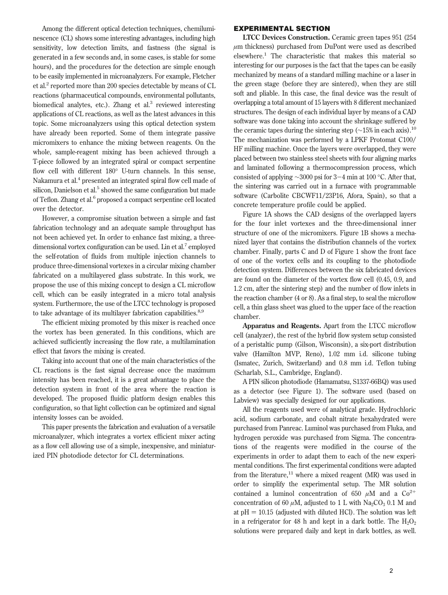Among the different optical detection techniques, chemiluminescence (CL) shows some interesting advantages, including high sensitivity, low detection limits, and fastness (the signal is generated in a few seconds and, in some cases, is stable for some hours), and the procedures for the detection are simple enough to be easily implemented in microanalyzers. For example, Fletcher et al.2 reported more than 200 species detectable by means of CL reactions (pharmaceutical compounds, environmental pollutants, biomedical analytes, etc.). Zhang et al.<sup>3</sup> reviewed interesting applications of CL reactions, as well as the latest advances in this topic. Some microanalyzers using this optical detection system have already been reported. Some of them integrate passive micromixers to enhance the mixing between reagents. On the whole, sample-reagent mixing has been achieved through a T-piece followed by an integrated spiral or compact serpentine flow cell with different 180° U-turn channels. In this sense, Nakamura et al.4 presented an integrated spiral flow cell made of silicon, Danielson et al.<sup>5</sup> showed the same configuration but made of Teflon. Zhang et al.<sup>6</sup> proposed a compact serpentine cell located over the detector.

However, a compromise situation between a simple and fast fabrication technology and an adequate sample throughput has not been achieved yet. In order to enhance fast mixing, a threedimensional vortex configuration can be used. Lin et al.<sup>7</sup> employed the self-rotation of fluids from multiple injection channels to produce three-dimensional vortexes in a circular mixing chamber fabricated on a multilayered glass substrate. In this work, we propose the use of this mixing concept to design a CL microflow cell, which can be easily integrated in a micro total analysis system. Furthermore, the use of the LTCC technology is proposed to take advantage of its multilayer fabrication capabilities. $8,9$ 

The efficient mixing promoted by this mixer is reached once the vortex has been generated. In this conditions, which are achieved sufficiently increasing the flow rate, a multilamination effect that favors the mixing is created.

Taking into account that one of the main characteristics of the CL reactions is the fast signal decrease once the maximum intensity has been reached, it is a great advantage to place the detection system in front of the area where the reaction is developed. The proposed fluidic platform design enables this configuration, so that light collection can be optimized and signal intensity losses can be avoided.

This paper presents the fabrication and evaluation of a versatile microanalyzer, which integrates a vortex efficient mixer acting as a flow cell allowing use of a simple, inexpensive, and miniaturized PIN photodiode detector for CL determinations.

## **EXPERIMENTAL SECTION**

**LTCC Devices Construction.** Ceramic green tapes 951 (254 *µ*m thickness) purchased from DuPont were used as described elsewhere.<sup>1</sup> The characteristic that makes this material so interesting for our purposes is the fact that the tapes can be easily mechanized by means of a standard milling machine or a laser in the green stage (before they are sintered), when they are still soft and pliable. In this case, the final device was the result of overlapping a total amount of 15 layers with 8 different mechanized structures. The design of each individual layer by means of a CAD software was done taking into account the shrinkage suffered by the ceramic tapes during the sintering step ( $\sim$ 15% in each axis).<sup>10</sup> The mechanization was performed by a LPKF Protomat C100/ HF milling machine. Once the layers were overlapped, they were placed between two stainless steel sheets with four aligning marks and laminated following a thermocompression process, which consisted of applying <sup>∼</sup>3000 psi for 3-4 min at 100 °C. After that, the sintering was carried out in a furnace with programmable software (Carbolite CBCWF11/23P16, Afora, Spain), so that a concrete temperature profile could be applied.

Figure 1A shows the CAD designs of the overlapped layers for the four inlet vortexes and the three-dimensional inner structure of one of the micromixers. Figure 1B shows a mechanized layer that contains the distribution channels of the vortex chamber. Finally, parts C and D of Figure 1 show the front face of one of the vortex cells and its coupling to the photodiode detection system. Differences between the six fabricated devices are found on the diameter of the vortex flow cell (0.45, 0.9, and 1.2 cm, after the sintering step) and the number of flow inlets in the reaction chamber (4 or 8). As a final step, to seal the microflow cell, a thin glass sheet was glued to the upper face of the reaction chamber.

**Apparatus and Reagents.** Apart from the LTCC microflow cell (analyzer), the rest of the hybrid flow system setup consisted of a peristaltic pump (Gilson, Wisconsin), a six-port distribution valve (Hamilton MVP, Reno), 1.02 mm i.d. silicone tubing (Ismatec, Zurich, Switzerland) and 0.8 mm i.d. Teflon tubing (Scharlab, S.L., Cambridge, England).

A PIN silicon photodiode (Hamamatsu, S1337-66BQ) was used as a detector (see Figure 1). The software used (based on Labview) was specially designed for our applications.

All the reagents used were of analytical grade. Hydrochloric acid, sodium carbonate, and cobalt nitrate hexahydrated were purchased from Panreac. Luminol was purchased from Fluka, and hydrogen peroxide was purchased from Sigma. The concentrations of the reagents were modified in the course of the experiments in order to adapt them to each of the new experimental conditions. The first experimental conditions were adapted from the literature,<sup>11</sup> where a mixed reagent (MR) was used in order to simplify the experimental setup. The MR solution contained a luminol concentration of 650  $\mu$ M and a Co<sup>2+</sup> concentration of 60  $\mu$ M, adjusted to 1 L with Na<sub>2</sub>CO<sub>3</sub> 0.1 M and at  $pH = 10.15$  (adjusted with diluted HCl). The solution was left in a refrigerator for 48 h and kept in a dark bottle. The  $H_2O_2$ solutions were prepared daily and kept in dark bottles, as well.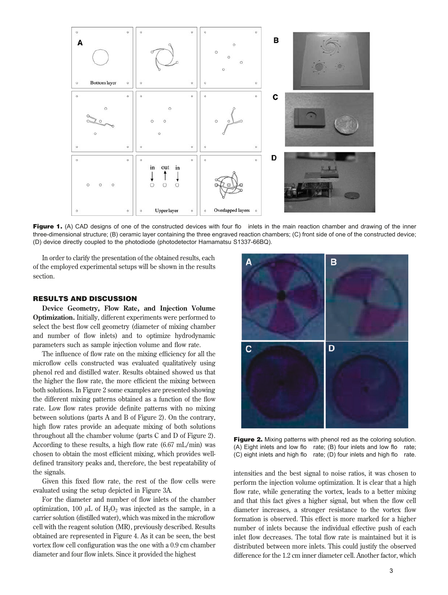

**Figure 1.** (A) CAD designs of one of the constructed devices with four flo inlets in the main reaction chamber and drawing of the inner three-dimensional structure; (B) ceramic layer containing the three engraved reaction chambers; (C) front side of one of the constructed device; (D) device directly coupled to the photodiode (photodetector Hamamatsu S1337-66BQ).

In order to clarify the presentation of the obtained results, each of the employed experimental setups will be shown in the results section.

#### **RESULTS AND DISCUSSION**

**Device Geometry, Flow Rate, and Injection Volume Optimization.** Initially, different experiments were performed to select the best flow cell geometry (diameter of mixing chamber and number of flow inlets) and to optimize hydrodynamic parameters such as sample injection volume and flow rate.

The influence of flow rate on the mixing efficiency for all the microflow cells constructed was evaluated qualitatively using phenol red and distilled water. Results obtained showed us that the higher the flow rate, the more efficient the mixing between both solutions. In Figure 2 some examples are presented showing the different mixing patterns obtained as a function of the flow rate. Low flow rates provide definite patterns with no mixing between solutions (parts A and B of Figure 2). On the contrary, high flow rates provide an adequate mixing of both solutions throughout all the chamber volume (parts C and D of Figure 2). According to these results, a high flow rate (6.67 mL/min) was chosen to obtain the most efficient mixing, which provides welldefined transitory peaks and, therefore, the best repeatability of the signals.

Given this fixed flow rate, the rest of the flow cells were evaluated using the setup depicted in Figure 3A.

For the diameter and number of flow inlets of the chamber optimization, 100  $\mu$ L of H<sub>2</sub>O<sub>2</sub> was injected as the sample, in a carrier solution (distilled water), which was mixed in the microflow cell with the reagent solution (MR), previously described. Results obtained are represented in Figure 4. As it can be seen, the best vortex flow cell configuration was the one with a 0.9 cm chamber diameter and four flow inlets. Since it provided the highest



**Figure 2.** Mixing patterns with phenol red as the coloring solution. (A) Eight inlets and low flo rate; (B) four inlets and low flo rate; (C) eight inlets and high flo rate; (D) four inlets and high flo rate.

intensities and the best signal to noise ratios, it was chosen to perform the injection volume optimization. It is clear that a high flow rate, while generating the vortex, leads to a better mixing and that this fact gives a higher signal, but when the flow cell diameter increases, a stronger resistance to the vortex flow formation is observed. This effect is more marked for a higher number of inlets because the individual effective push of each inlet flow decreases. The total flow rate is maintained but it is distributed between more inlets. This could justify the observed difference for the 1.2 cm inner diameter cell. Another factor, which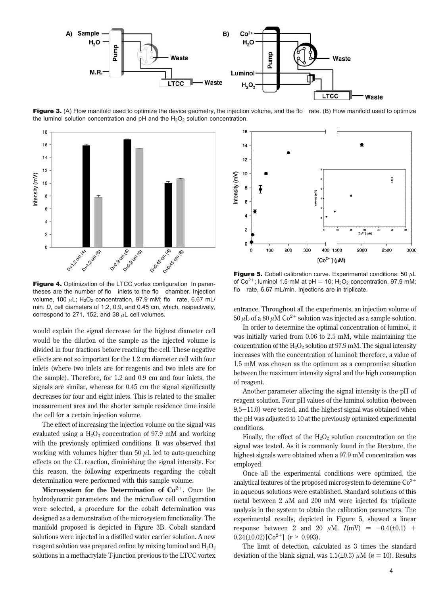

Figure 3. (A) Flow manifold used to optimize the device geometry, the injection volume, and the flo rate. (B) Flow manifold used to optimize the luminol solution concentration and pH and the  $H_2O_2$  solution concentration.



**Figure 4.** Optimization of the LTCC vortex configuration In parentheses are the number of flo inlets to the flo chamber. Injection volume, 100  $\mu$ L; H<sub>2</sub>O<sub>2</sub> concentration, 97.9 mM; flo rate, 6.67 mL/ min. *D*, cell diameters of 1.2, 0.9, and 0.45 cm, which, respectively, correspond to 271, 152, and 38 *µ*L cell volumes.

would explain the signal decrease for the highest diameter cell would be the dilution of the sample as the injected volume is divided in four fractions before reaching the cell. These negative effects are not so important for the 1.2 cm diameter cell with four inlets (where two inlets are for reagents and two inlets are for the sample). Therefore, for 1.2 and 0.9 cm and four inlets, the signals are similar, whereas for 0.45 cm the signal significantly decreases for four and eight inlets. This is related to the smaller measurement area and the shorter sample residence time inside the cell for a certain injection volume.

The effect of increasing the injection volume on the signal was evaluated using a  $H_2O_2$  concentration of 97.9 mM and working with the previously optimized conditions. It was observed that working with volumes higher than 50 *µ*L led to auto-quenching effects on the CL reaction, diminishing the signal intensity. For this reason, the following experiments regarding the cobalt determination were performed with this sample volume.

**Microsystem for the Determination of**  $Co^{2+}$ **. Once the** hydrodynamic parameters and the microflow cell configuration were selected, a procedure for the cobalt determination was designed as a demonstration of the microsystem functionality. The manifold proposed is depicted in Figure 3B. Cobalt standard solutions were injected in a distilled water carrier solution. A new reagent solution was prepared online by mixing luminol and  $H_2O_2$ solutions in a methacrylate T-junction previous to the LTCC vortex



**Figure 5.** Cobalt calibration curve. Experimental conditions: 50 *µ*L of  $Co^{2+}$ ; luminol 1.5 mM at pH = 10; H<sub>2</sub>O<sub>2</sub> concentration, 97.9 mM; flo rate, 6.67 mL/min. Injections are in triplicate.

entrance. Throughout all the experiments, an injection volume of 50  $\mu$ L of a 80  $\mu$ M Co<sup>2+</sup> solution was injected as a sample solution.

In order to determine the optimal concentration of luminol, it was initially varied from 0.06 to 2.5 mM, while maintaining the concentration of the  $H_2O_2$  solution at 97.9 mM. The signal intensity increases with the concentration of luminol; therefore, a value of 1.5 mM was chosen as the optimum as a compromise situation between the maximum intensity signal and the high consumption of reagent.

Another parameter affecting the signal intensity is the pH of reagent solution. Four pH values of the luminol solution (between  $9.5-11.0$ ) were tested, and the highest signal was obtained when the pH was adjusted to 10 at the previously optimized experimental conditions.

Finally, the effect of the  $H_2O_2$  solution concentration on the signal was tested. As it is commonly found in the literature, the highest signals were obtained when a 97.9 mM concentration was employed.

Once all the experimental conditions were optimized, the analytical features of the proposed microsystem to determine  $Co<sup>2+</sup>$ in aqueous solutions were established. Standard solutions of this metal between  $2 \mu M$  and  $200 \text{ mM}$  were injected for triplicate analysis in the system to obtain the calibration parameters. The experimental results, depicted in Figure 5, showed a linear response between 2 and 20  $\mu$ M.  $I(mV) = -0.4(\pm 0.1) +$  $0.24(\pm 0.02)[\text{Co}^{2+}]$  ( $r > 0.993$ ).

The limit of detection, calculated as 3 times the standard deviation of the blank signal, was  $1.1(\pm 0.3)$   $\mu$ M ( $n = 10$ ). Results